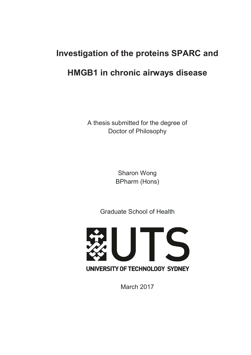# **Investigation of the proteins SPARC and HMGB1 in chronic airways disease**

A thesis submitted for the degree of Doctor of Philosophy

> Sharon Wong BPharm (Hons)

Graduate School of Health



March 2017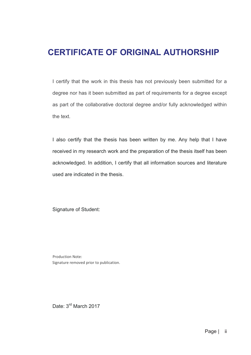### **CERTIFICATE OF ORIGINAL AUTHORSHIP**

I certify that the work in this thesis has not previously been submitted for a degree nor has it been submitted as part of requirements for a degree except as part of the collaborative doctoral degree and/or fully acknowledged within the text.

I also certify that the thesis has been written by me. Any help that I have received in my research work and the preparation of the thesis itself has been acknowledged. In addition, I certify that all information sources and literature used are indicated in the thesis.

Signature of Student:

Production Note: Signature removed prior to publication.

Date: 3<sup>rd</sup> March 2017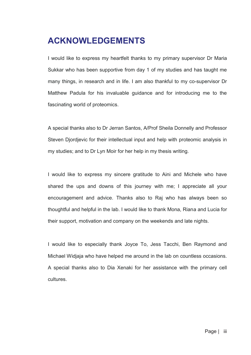## **ACKNOWLEDGEMENTS**

I would like to express my heartfelt thanks to my primary supervisor Dr Maria Sukkar who has been supportive from day 1 of my studies and has taught me many things, in research and in life. I am also thankful to my co-supervisor Dr Matthew Padula for his invaluable guidance and for introducing me to the fascinating world of proteomics.

A special thanks also to Dr Jerran Santos, A/Prof Sheila Donnelly and Professor Steven Djordjevic for their intellectual input and help with proteomic analysis in my studies; and to Dr Lyn Moir for her help in my thesis writing.

I would like to express my sincere gratitude to Aini and Michele who have shared the ups and downs of this journey with me; I appreciate all your encouragement and advice. Thanks also to Raj who has always been so thoughtful and helpful in the lab. I would like to thank Mona, Riana and Lucia for their support, motivation and company on the weekends and late nights.

I would like to especially thank Joyce To, Jess Tacchi, Ben Raymond and Michael Widjaja who have helped me around in the lab on countless occasions. A special thanks also to Dia Xenaki for her assistance with the primary cell cultures.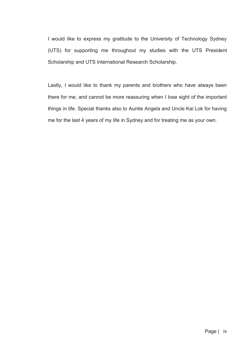I would like to express my gratitude to the University of Technology Sydney (UTS) for supporting me throughout my studies with the UTS President Scholarship and UTS International Research Scholarship.

Lastly, I would like to thank my parents and brothers who have always been there for me, and cannot be more reassuring when I lose sight of the important things in life. Special thanks also to Auntie Angela and Uncle Kai Lok for having me for the last 4 years of my life in Sydney and for treating me as your own.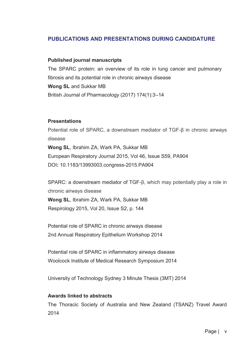#### **PUBLICATIONS AND PRESENTATIONS DURING CANDIDATURE**

#### **Published journal manuscripts**

The SPARC protein: an overview of its role in lung cancer and pulmonary fibrosis and its potential role in chronic airways disease **Wong SL** and Sukkar MB British Journal of Pharmacology (2017) 174(1):3–14

#### **Presentations**

Potential role of SPARC, a downstream mediator of TGF-β in chronic airways disease **Wong SL**, Ibrahim ZA, Wark PA, Sukkar MB European Respiratory Journal 2015, Vol 46, Issue S59, PA904 DOI**:** 10.1183/13993003.congress-2015.PA904

SPARC: a downstream mediator of TGF-β, which may potentially play a role in chronic airways disease **Wong SL**, Ibrahim ZA, Wark PA, Sukkar MB Respirology 2015, Vol 20, Issue S2, p. 144

Potential role of SPARC in chronic airways disease 2nd Annual Respiratory Epithelium Workshop 2014

Potential role of SPARC in inflammatory airways disease Woolcock Institute of Medical Research Symposium 2014

University of Technology Sydney 3 Minute Thesis (3MT) 2014

#### **Awards linked to abstracts**

The Thoracic Society of Australia and New Zealand (TSANZ) Travel Award 2014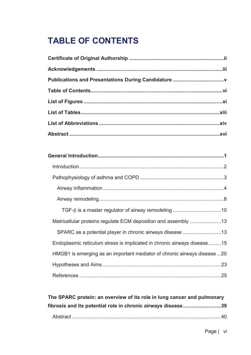## **TABLE OF CONTENTS**

| Matricellular proteins regulate ECM deposition and assembly 13          |
|-------------------------------------------------------------------------|
| SPARC as a potential player in chronic airways disease 13               |
| Endoplasmic reticulum stress is implicated in chronic airways disease15 |
| HMGB1 is emerging as an important mediator of chronic airways disease20 |
|                                                                         |
|                                                                         |

**The SPARC protein: an overview of its role in lung cancer and pulmonary fibrosis and its potential role in chronic airways disease ........................... 39**  Abstract ......................................................................................................... 40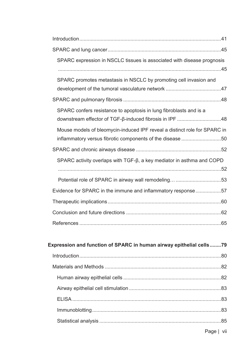| SPARC expression in NSCLC tissues is associated with disease prognosis      |  |
|-----------------------------------------------------------------------------|--|
|                                                                             |  |
| SPARC promotes metastasis in NSCLC by promoting cell invasion and           |  |
|                                                                             |  |
|                                                                             |  |
| SPARC confers resistance to apoptosis in lung fibroblasts and is a          |  |
| downstream effector of TGF-β-induced fibrosis in IPF 48                     |  |
| Mouse models of bleomycin-induced IPF reveal a distinct role for SPARC in   |  |
| inflammatory versus fibrotic components of the disease 50                   |  |
|                                                                             |  |
| SPARC activity overlaps with $TGF-\beta, a key mediator in asthma and COPD$ |  |
|                                                                             |  |
|                                                                             |  |
| Evidence for SPARC in the immune and inflammatory response57                |  |
|                                                                             |  |
|                                                                             |  |
|                                                                             |  |
|                                                                             |  |

| Expression and function of SPARC in human airway epithelial cells79 |  |
|---------------------------------------------------------------------|--|
|                                                                     |  |
|                                                                     |  |
|                                                                     |  |
|                                                                     |  |
|                                                                     |  |
|                                                                     |  |
|                                                                     |  |
|                                                                     |  |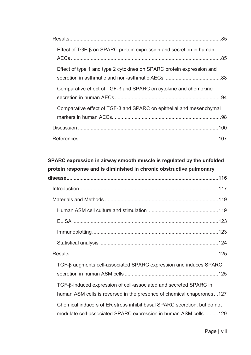| Effect of TGF-B on SPARC protein expression and secretion in human    |  |
|-----------------------------------------------------------------------|--|
| Effect of type 1 and type 2 cytokines on SPARC protein expression and |  |
| Comparative effect of TGF-β and SPARC on cytokine and chemokine       |  |
| Comparative effect of TGF-B and SPARC on epithelial and mesenchymal   |  |
|                                                                       |  |
|                                                                       |  |

#### **SPARC expression in airway smooth muscle is regulated by the unfolded protein response and is diminished in chronic obstructive pulmonary**

| $TGF-\beta$ augments cell-associated SPARC expression and induces SPARC                                                                     |
|---------------------------------------------------------------------------------------------------------------------------------------------|
| TGF-ß-induced expression of cell-associated and secreted SPARC in<br>human ASM cells is reversed in the presence of chemical chaperones127  |
| Chemical inducers of ER stress inhibit basal SPARC secretion, but do not<br>modulate cell-associated SPARC expression in human ASM cells129 |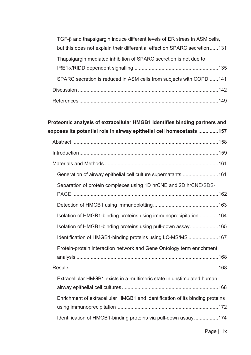| $TGF-\beta$ and thapsigargin induce different levels of ER stress in ASM cells, |  |
|---------------------------------------------------------------------------------|--|
| but this does not explain their differential effect on SPARC secretion131       |  |
| Thapsigargin mediated inhibition of SPARC secretion is not due to               |  |
|                                                                                 |  |
| SPARC secretion is reduced in ASM cells from subjects with COPD 141             |  |
|                                                                                 |  |
|                                                                                 |  |

## **Proteomic analysis of extracellular HMGB1 identifies binding partners and exposes its potential role in airway epithelial cell homeostasis .............. 157**  Abstract ....................................................................................................... 158 Introduction .................................................................................................. 159 Materials and Methods ................................................................................ 161 Generation of airway epithelial cell culture supernatants ......................... 161 Separation of protein complexes using 1D hrCNE and 2D hrCNE/SDS-PAGE ....................................................................................................... 162 Detection of HMGB1 using immunoblotting .............................................. 163 Isolation of HMGB1-binding proteins using immunoprecipitation ............. 164 Isolation of HMGB1-binding proteins using pull-down assay .................... 165 Identification of HMGB1-binding proteins using LC-MS/MS ..................... 167 Protein-protein interaction network and Gene Ontology term enrichment analysis .................................................................................................... 168 Results ......................................................................................................... 168 Extracellular HMGB1 exists in a multimeric state in unstimulated human airway epithelial cell cultures .................................................................... 168 Enrichment of extracellular HMGB1 and identification of its binding proteins using immunoprecipitation ........................................................................ 172 Identification of HMGB1-binding proteins via pull-down assay ................. 174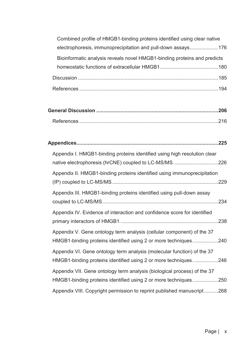| Combined profile of HMGB1-binding proteins identified using clear native |
|--------------------------------------------------------------------------|
| electrophoresis, immunoprecipitation and pull-down assays176             |
| Bioinformatic analysis reveals novel HMGB1-binding proteins and predicts |
|                                                                          |
|                                                                          |
|                                                                          |

| Appendix I. HMGB1-binding proteins identified using high resolution clear<br>native electrophoresis (hrCNE) coupled to LC-MS/MS226          |  |
|---------------------------------------------------------------------------------------------------------------------------------------------|--|
| Appendix II. HMGB1-binding proteins identified using immunoprecipitation                                                                    |  |
| Appendix III. HMGB1-binding proteins identified using pull-down assay                                                                       |  |
| Appendix IV. Evidence of interaction and confidence score for identified                                                                    |  |
| Appendix V. Gene ontology term analysis (cellular component) of the 37<br>HMGB1-binding proteins identified using 2 or more techniques240   |  |
| Appendix VI. Gene ontology term analysis (molecular function) of the 37<br>HMGB1-binding proteins identified using 2 or more techniques246  |  |
| Appendix VII. Gene ontology term analysis (biological process) of the 37<br>HMGB1-binding proteins identified using 2 or more techniques250 |  |
| Appendix VIII. Copyright permission to reprint published manuscript268                                                                      |  |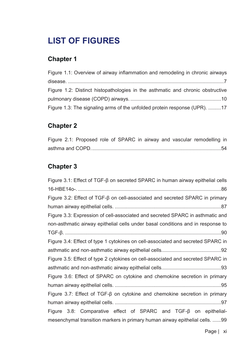## **LIST OF FIGURES**

#### **Chapter 1**

| Figure 1.1: Overview of airway inflammation and remodeling in chronic airways  |
|--------------------------------------------------------------------------------|
|                                                                                |
| Figure 1.2: Distinct histopathologies in the asthmatic and chronic obstructive |
|                                                                                |
| Figure 1.3: The signaling arms of the unfolded protein response (UPR). 17      |

#### **Chapter 2**

|  |  |  |  |  | Figure 2.1: Proposed role of SPARC in airway and vascular remodelling in |  |
|--|--|--|--|--|--------------------------------------------------------------------------|--|
|  |  |  |  |  |                                                                          |  |

#### **Chapter 3**

Figure 3.1: Effect of TGF- $\beta$  on secreted SPARC in human airway epithelial cells 16-HBE14o-. ..................................................................................................... 86 Figure 3.2: Effect of TGF-β on cell-associated and secreted SPARC in primary human airway epithelial cells. ........................................................................... 87 Figure 3.3: Expression of cell-associated and secreted SPARC in asthmatic and non-asthmatic airway epithelial cells under basal conditions and in response to TGF-ȕ .............................................................................................................. 90 Figure 3.4: Effect of type 1 cytokines on cell-associated and secreted SPARC in asthmatic and non-asthmatic airway epithelial cells. ......................................... 92 Figure 3.5: Effect of type 2 cytokines on cell-associated and secreted SPARC in asthmatic and non-asthmatic airway epithelial cells. ......................................... 93 Figure 3.6: Effect of SPARC on cytokine and chemokine secretion in primary human airway epithelial cells. ........................................................................... 95 Figure 3.7: Effect of TGF- $\beta$  on cytokine and chemokine secretion in primary human airway epithelial cells. ........................................................................... 97 Figure  $3.8$ : Comparative effect of SPARC and TGF- $\beta$  on epithelialmesenchymal transition markers in primary human airway epithelial cells. ...... 99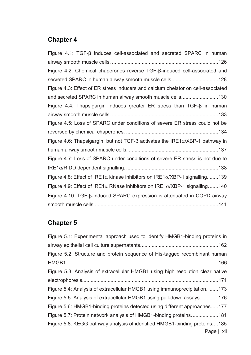#### **Chapter 4**

| Figure 4.1: $TGF-\beta$ induces cell-associated and secreted SPARC in human                   |
|-----------------------------------------------------------------------------------------------|
|                                                                                               |
| Figure 4.2: Chemical chaperones reverse TGF-β-induced cell-associated and                     |
| secreted SPARC in human airway smooth muscle cells128                                         |
| Figure 4.3: Effect of ER stress inducers and calcium chelator on cell-associated              |
| and secreted SPARC in human airway smooth muscle cells130                                     |
| Figure 4.4: Thapsigargin induces greater ER stress than TGF- $\beta$ in human                 |
|                                                                                               |
| Figure 4.5: Loss of SPARC under conditions of severe ER stress could not be                   |
|                                                                                               |
| Figure 4.6: Thapsigargin, but not TGF- $\beta$ activates the IRE1 $\alpha$ /XBP-1 pathway in  |
|                                                                                               |
| Figure 4.7: Loss of SPARC under conditions of severe ER stress is not due to                  |
|                                                                                               |
| Figure 4.8: Effect of IRE1 $\alpha$ kinase inhibitors on IRE1 $\alpha$ /XBP-1 signalling. 139 |
| Figure 4.9: Effect of IRE1 $\alpha$ RNase inhibitors on IRE1 $\alpha$ /XBP-1 signalling140    |
| Figure 4.10: $TGF-\beta$ -induced SPARC expression is attenuated in COPD airway               |
|                                                                                               |

### **Chapter 5**

| Figure 5.1: Experimental approach used to identify HMGB1-binding proteins in   |
|--------------------------------------------------------------------------------|
|                                                                                |
| Figure 5.2: Structure and protein sequence of His-tagged recombinant human     |
|                                                                                |
| Figure 5.3: Analysis of extracellular HMGB1 using high resolution clear native |
|                                                                                |
| Figure 5.4: Analysis of extracellular HMGB1 using immunoprecipitation173       |
| Figure 5.5: Analysis of extracellular HMGB1 using pull-down assays176          |
| Figure 5.6: HMGB1-binding proteins detected using different approaches177      |
| Figure 5.7: Protein network analysis of HMGB1-binding proteins181              |
| Figure 5.8: KEGG pathway analysis of identified HMGB1-binding proteins185      |
| Page   xii                                                                     |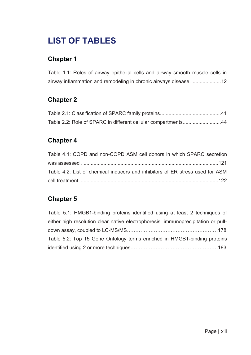## **LIST OF TABLES**

#### **Chapter 1**

Table 1.1: Roles of airway epithelial cells and airway smooth muscle cells in airway inflammation and remodeling in chronic airways disease. ..................... 12

#### **Chapter 2**

| Table 2.2: Role of SPARC in different cellular compartments44 |  |
|---------------------------------------------------------------|--|

#### **Chapter 4**

| Table 4.1: COPD and non-COPD ASM cell donors in which SPARC secretion         |  |
|-------------------------------------------------------------------------------|--|
|                                                                               |  |
| Table 4.2: List of chemical inducers and inhibitors of ER stress used for ASM |  |
|                                                                               |  |

#### **Chapter 5**

| Table 5.1: HMGB1-binding proteins identified using at least 2 techniques of       |  |
|-----------------------------------------------------------------------------------|--|
| either high resolution clear native electrophoresis, immunoprecipitation or pull- |  |
|                                                                                   |  |
| Table 5.2: Top 15 Gene Ontology terms enriched in HMGB1-binding proteins          |  |
|                                                                                   |  |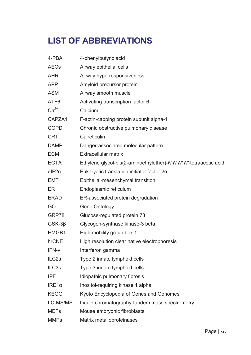## **LIST OF ABBREVIATIONS**

| 4-PBA              | 4-phenylbutyric acid                                              |
|--------------------|-------------------------------------------------------------------|
| <b>AECs</b>        | Airway epithelial cells                                           |
| <b>AHR</b>         | Airway hyperresponsiveness                                        |
| <b>APP</b>         | Amyloid precursor protein                                         |
| <b>ASM</b>         | Airway smooth muscle                                              |
| ATF <sub>6</sub>   | Activating transcription factor 6                                 |
| $Ca2+$             | Calcium                                                           |
| CAPZA1             | F-actin-capping protein subunit alpha-1                           |
| <b>COPD</b>        | Chronic obstructive pulmonary disease                             |
| <b>CRT</b>         | Calreticulin                                                      |
| <b>DAMP</b>        | Danger-associated molecular pattern                               |
| <b>ECM</b>         | Extracellular matrix                                              |
| <b>EGTA</b>        | Ethylene glycol-bis(2-aminoethylether)-N,N,N',N'-tetraacetic acid |
| $e$ IF2 $\alpha$   | Eukaryotic translation initiator factor 2a                        |
| <b>EMT</b>         | Epithelial-mesenchymal transition                                 |
| ER                 | Endoplasmic reticulum                                             |
| <b>ERAD</b>        | ER-associated protein degradation                                 |
| GO                 | Gene Ontology                                                     |
| GRP78              | Glucose-regulated protein 78                                      |
| $GSK-3\beta$       | Glycogen-synthase kinase-3 beta                                   |
| HMGB1              | High mobility group box 1                                         |
| hrCNE              | High resolution clear native electrophoresis                      |
| IFN-y              | Interferon gamma                                                  |
| ILC <sub>2s</sub>  | Type 2 innate lymphoid cells                                      |
| ILC <sub>3</sub> s | Type 3 innate lymphoid cells                                      |
| <b>IPF</b>         | Idiopathic pulmonary fibrosis                                     |
| $IRE1\alpha$       | Inositol-requiring kinase 1 alpha                                 |
| <b>KEGG</b>        | Kyoto Encyclopedia of Genes and Genomes                           |
| LC-MS/MS           | Liquid chromatography-tandem mass spectrometry                    |
| <b>MEFs</b>        | Mouse embryonic fibroblasts                                       |
| <b>MMPs</b>        | Matrix metalloproteinases                                         |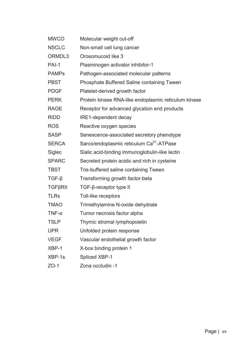| <b>MWCO</b>    | Molecular weight cut-off                             |
|----------------|------------------------------------------------------|
| <b>NSCLC</b>   | Non-small cell lung cancer                           |
| ORMDL3         | Orosomucoid like 3                                   |
| PAI-1          | Plasminogen activator inhibitor-1                    |
| <b>PAMPs</b>   | Pathogen-associated molecular patterns               |
| <b>PBST</b>    | Phosphate Buffered Saline containing Tween           |
| <b>PDGF</b>    | Platelet-derived growth factor                       |
| <b>PERK</b>    | Protein kinase RNA-like endoplasmic reticulum kinase |
| <b>RAGE</b>    | Receptor for advanced glycation end products         |
| <b>RIDD</b>    | IRE1-dependent decay                                 |
| <b>ROS</b>     | Reactive oxygen species                              |
| <b>SASP</b>    | Senescence-associated secretory phenotype            |
| <b>SERCA</b>   | Sarco/endoplasmic reticulum Ca <sup>2+</sup> -ATPase |
| Siglec         | Sialic acid-binding immunoglobulin-like lectin       |
| <b>SPARC</b>   | Secreted protein acidic and rich in cysteine         |
| <b>TBST</b>    | Tris-buffered saline containing Tween                |
| $TGF-\beta$    | Transforming growth factor-beta                      |
| <b>TGFBRII</b> | $TGF-\beta$ -receptor type II                        |
| <b>TLRs</b>    | Toll-like receptors                                  |
| <b>TMAO</b>    | Trimethylamine N-oxide dehydrate                     |
| $TNF-\alpha$   | Tumor necrosis factor alpha                          |
| <b>TSLP</b>    | Thymic stromal lymphopoietin                         |
| <b>UPR</b>     | Unfolded protein response                            |
| <b>VEGF</b>    | Vascular endothelial growth factor                   |
| XBP-1          | X-box binding protein 1                              |
| XBP-1s         | <b>Spliced XBP-1</b>                                 |
|                |                                                      |

ZO-1 Zona occludin -1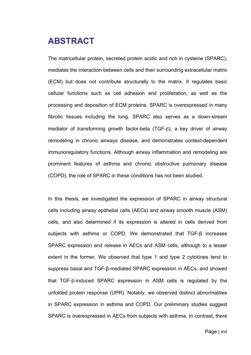### **ABSTRACT**

The matricellular protein, secreted protein acidic and rich in cysteine (SPARC), mediates the interaction between cells and their surrounding extracellular matrix (ECM) but does not contribute structurally to the matrix. It regulates basic cellular functions such as cell adhesion and proliferation, as well as the processing and deposition of ECM proteins. SPARC is overexpressed in many fibrotic tissues including the lung. SPARC also serves as a down-stream mediator of transforming growth factor-beta (TGF-β), a key driver of airway remodeling in chronic airways disease, and demonstrates context-dependent immunoregulatory functions. Although airway inflammation and remodeling are prominent features of asthma and chronic obstructive pulmonary disease (COPD), the role of SPARC in these conditions has not been studied.

In this thesis, we investigated the expression of SPARC in airway structural cells including airway epithelial cells (AECs) and airway smooth muscle (ASM) cells, and also determined if its expression is altered in cells derived from subjects with asthma or COPD. We demonstrated that TGF-β increases SPARC expression and release in AECs and ASM cells, although to a lesser extent in the former. We observed that type 1 and type 2 cytokines tend to suppress basal and TGF-β-mediated SPARC expression in AECs, and showed that TGF-β-induced SPARC expression in ASM cells is regulated by the unfolded protein response (UPR). Notably, we observed distinct abnormalities in SPARC expression in asthma and COPD. Our preliminary studies suggest SPARC is overexpressed in AECs from subjects with asthma. In contrast, there